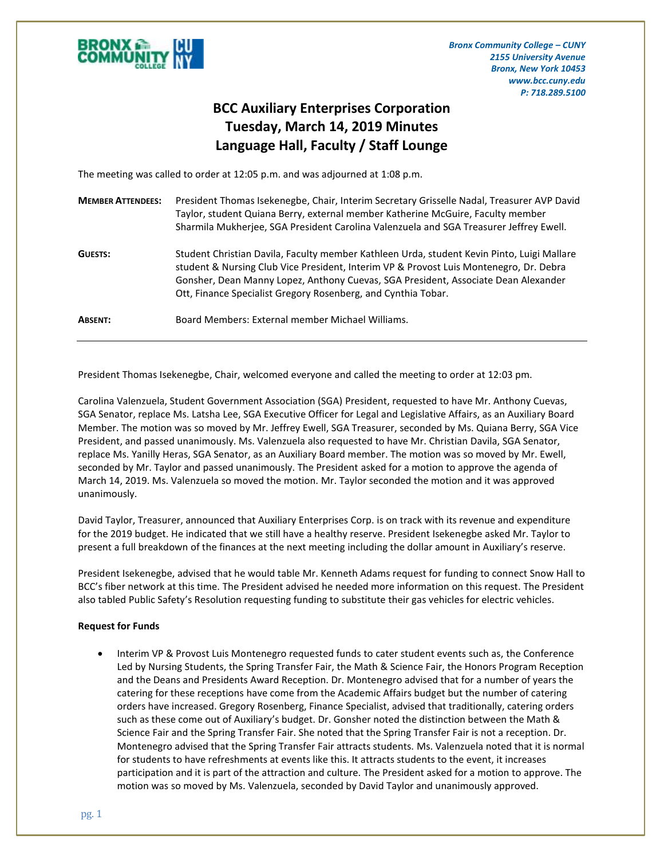

*Bronx Community College – CUNY 2155 University Avenue Bronx, New York 10453 www.bcc.cuny.edu P: 718.289.5100*

## **BCC Auxiliary Enterprises Corporation Tuesday, March 14, 2019 Minutes Language Hall, Faculty / Staff Lounge**

The meeting was called to order at 12:05 p.m. and was adjourned at 1:08 p.m.

| <b>MEMBER ATTENDEES:</b> | President Thomas Isekenegbe, Chair, Interim Secretary Grisselle Nadal, Treasurer AVP David<br>Taylor, student Quiana Berry, external member Katherine McGuire, Faculty member<br>Sharmila Mukherjee, SGA President Carolina Valenzuela and SGA Treasurer Jeffrey Ewell.                                                                     |
|--------------------------|---------------------------------------------------------------------------------------------------------------------------------------------------------------------------------------------------------------------------------------------------------------------------------------------------------------------------------------------|
| <b>GUESTS:</b>           | Student Christian Davila, Faculty member Kathleen Urda, student Kevin Pinto, Luigi Mallare<br>student & Nursing Club Vice President, Interim VP & Provost Luis Montenegro, Dr. Debra<br>Gonsher, Dean Manny Lopez, Anthony Cuevas, SGA President, Associate Dean Alexander<br>Ott, Finance Specialist Gregory Rosenberg, and Cynthia Tobar. |
| <b>ABSENT:</b>           | Board Members: External member Michael Williams.                                                                                                                                                                                                                                                                                            |

President Thomas Isekenegbe, Chair, welcomed everyone and called the meeting to order at 12:03 pm.

Carolina Valenzuela, Student Government Association (SGA) President, requested to have Mr. Anthony Cuevas, SGA Senator, replace Ms. Latsha Lee, SGA Executive Officer for Legal and Legislative Affairs, as an Auxiliary Board Member. The motion was so moved by Mr. Jeffrey Ewell, SGA Treasurer, seconded by Ms. Quiana Berry, SGA Vice President, and passed unanimously. Ms. Valenzuela also requested to have Mr. Christian Davila, SGA Senator, replace Ms. Yanilly Heras, SGA Senator, as an Auxiliary Board member. The motion was so moved by Mr. Ewell, seconded by Mr. Taylor and passed unanimously. The President asked for a motion to approve the agenda of March 14, 2019. Ms. Valenzuela so moved the motion. Mr. Taylor seconded the motion and it was approved unanimously.

David Taylor, Treasurer, announced that Auxiliary Enterprises Corp. is on track with its revenue and expenditure for the 2019 budget. He indicated that we still have a healthy reserve. President Isekenegbe asked Mr. Taylor to present a full breakdown of the finances at the next meeting including the dollar amount in Auxiliary's reserve.

President Isekenegbe, advised that he would table Mr. Kenneth Adams request for funding to connect Snow Hall to BCC's fiber network at this time. The President advised he needed more information on this request. The President also tabled Public Safety's Resolution requesting funding to substitute their gas vehicles for electric vehicles.

## **Request for Funds**

 Interim VP & Provost Luis Montenegro requested funds to cater student events such as, the Conference Led by Nursing Students, the Spring Transfer Fair, the Math & Science Fair, the Honors Program Reception and the Deans and Presidents Award Reception. Dr. Montenegro advised that for a number of years the catering for these receptions have come from the Academic Affairs budget but the number of catering orders have increased. Gregory Rosenberg, Finance Specialist, advised that traditionally, catering orders such as these come out of Auxiliary's budget. Dr. Gonsher noted the distinction between the Math & Science Fair and the Spring Transfer Fair. She noted that the Spring Transfer Fair is not a reception. Dr. Montenegro advised that the Spring Transfer Fair attracts students. Ms. Valenzuela noted that it is normal for students to have refreshments at events like this. It attracts students to the event, it increases participation and it is part of the attraction and culture. The President asked for a motion to approve. The motion was so moved by Ms. Valenzuela, seconded by David Taylor and unanimously approved.